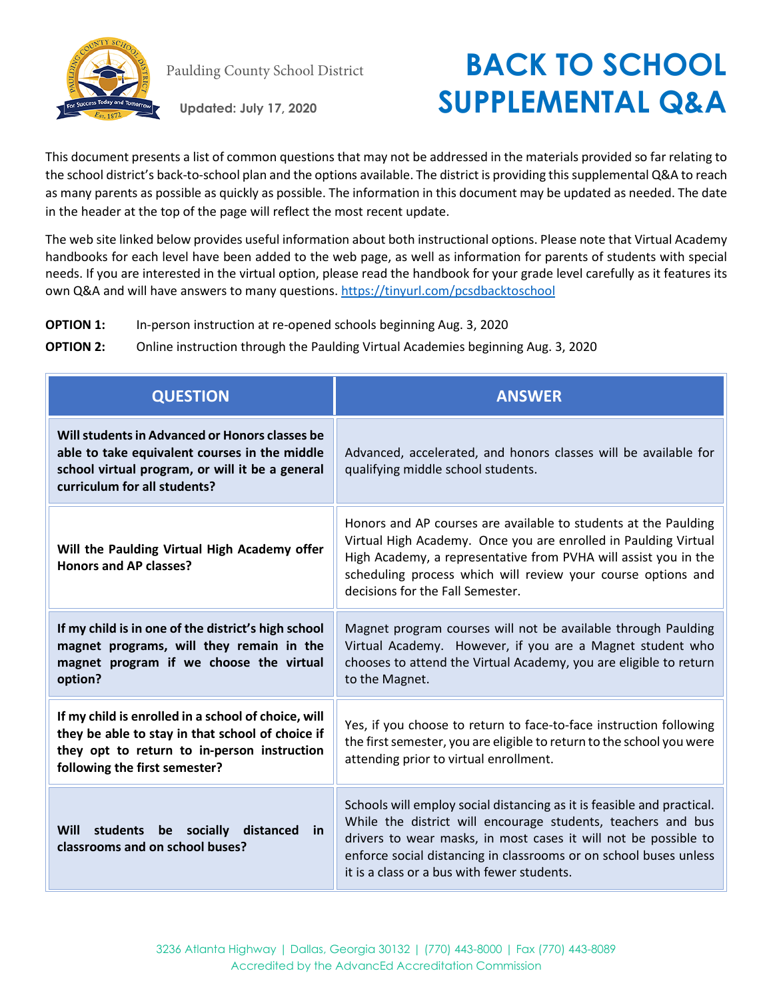

## Paulding County School District **BACK TO SCHOOL Updated: July 17, 2020 SUPPLEMENTAL Q&A**

This document presents a list of common questions that may not be addressed in the materials provided so far relating to the school district's back-to-school plan and the options available. The district is providing this supplemental Q&A to reach as many parents as possible as quickly as possible. The information in this document may be updated as needed. The date in the header at the top of the page will reflect the most recent update.

The web site linked below provides useful information about both instructional options. Please note that Virtual Academy handbooks for each level have been added to the web page, as well as information for parents of students with special needs. If you are interested in the virtual option, please read the handbook for your grade level carefully as it features its own Q&A and will have answers to many questions.<https://tinyurl.com/pcsdbacktoschool>

- **OPTION 1:** In-person instruction at re-opened schools beginning Aug. 3, 2020
- **OPTION 2:** Online instruction through the Paulding Virtual Academies beginning Aug. 3, 2020

| <b>QUESTION</b>                                                                                                                                                                         | <b>ANSWER</b>                                                                                                                                                                                                                                                                                                                 |
|-----------------------------------------------------------------------------------------------------------------------------------------------------------------------------------------|-------------------------------------------------------------------------------------------------------------------------------------------------------------------------------------------------------------------------------------------------------------------------------------------------------------------------------|
| Will students in Advanced or Honors classes be<br>able to take equivalent courses in the middle<br>school virtual program, or will it be a general<br>curriculum for all students?      | Advanced, accelerated, and honors classes will be available for<br>qualifying middle school students.                                                                                                                                                                                                                         |
| Will the Paulding Virtual High Academy offer<br>Honors and AP classes?                                                                                                                  | Honors and AP courses are available to students at the Paulding<br>Virtual High Academy. Once you are enrolled in Paulding Virtual<br>High Academy, a representative from PVHA will assist you in the<br>scheduling process which will review your course options and<br>decisions for the Fall Semester.                     |
| If my child is in one of the district's high school<br>magnet programs, will they remain in the<br>magnet program if we choose the virtual<br>option?                                   | Magnet program courses will not be available through Paulding<br>Virtual Academy. However, if you are a Magnet student who<br>chooses to attend the Virtual Academy, you are eligible to return<br>to the Magnet.                                                                                                             |
| If my child is enrolled in a school of choice, will<br>they be able to stay in that school of choice if<br>they opt to return to in-person instruction<br>following the first semester? | Yes, if you choose to return to face-to-face instruction following<br>the first semester, you are eligible to return to the school you were<br>attending prior to virtual enrollment.                                                                                                                                         |
| Will students be socially<br>distanced<br>in<br>classrooms and on school buses?                                                                                                         | Schools will employ social distancing as it is feasible and practical.<br>While the district will encourage students, teachers and bus<br>drivers to wear masks, in most cases it will not be possible to<br>enforce social distancing in classrooms or on school buses unless<br>it is a class or a bus with fewer students. |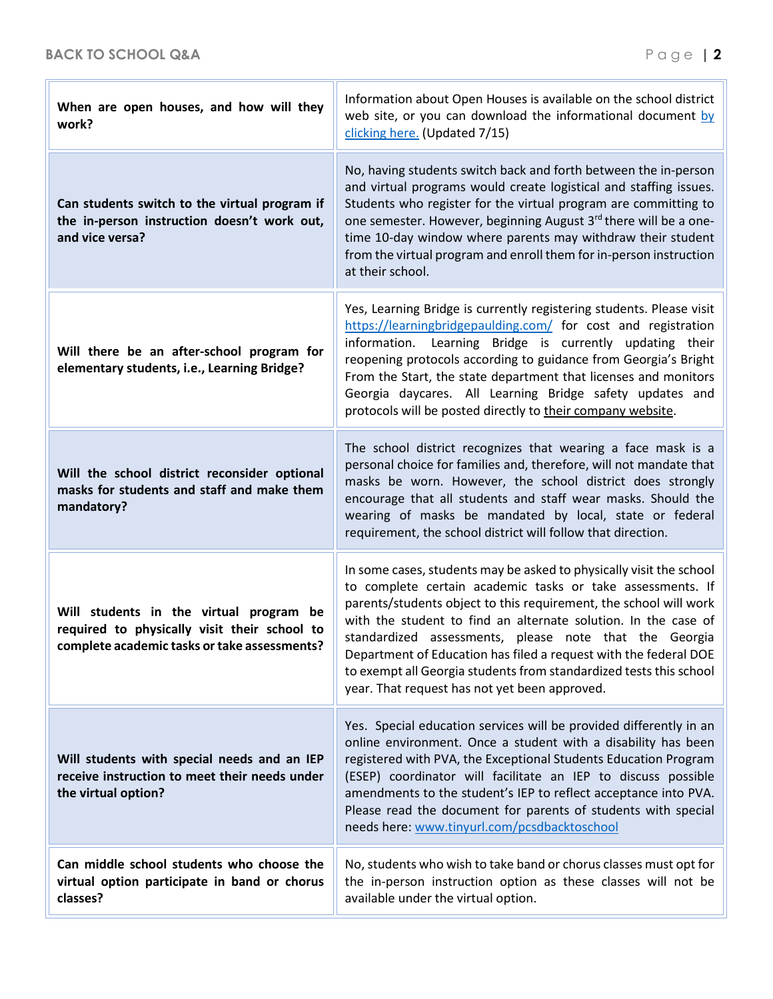| When are open houses, and how will they<br>work?                                                                                        | Information about Open Houses is available on the school district<br>web site, or you can download the informational document by<br>clicking here. (Updated 7/15)                                                                                                                                                                                                                                                                                                                                                             |
|-----------------------------------------------------------------------------------------------------------------------------------------|-------------------------------------------------------------------------------------------------------------------------------------------------------------------------------------------------------------------------------------------------------------------------------------------------------------------------------------------------------------------------------------------------------------------------------------------------------------------------------------------------------------------------------|
| Can students switch to the virtual program if<br>the in-person instruction doesn't work out,<br>and vice versa?                         | No, having students switch back and forth between the in-person<br>and virtual programs would create logistical and staffing issues.<br>Students who register for the virtual program are committing to<br>one semester. However, beginning August 3 <sup>rd</sup> there will be a one-<br>time 10-day window where parents may withdraw their student<br>from the virtual program and enroll them for in-person instruction<br>at their school.                                                                              |
| Will there be an after-school program for<br>elementary students, i.e., Learning Bridge?                                                | Yes, Learning Bridge is currently registering students. Please visit<br>https://learningbridgepaulding.com/ for cost and registration<br>information. Learning Bridge is currently updating their<br>reopening protocols according to guidance from Georgia's Bright<br>From the Start, the state department that licenses and monitors<br>Georgia daycares. All Learning Bridge safety updates and<br>protocols will be posted directly to their company website.                                                            |
| Will the school district reconsider optional<br>masks for students and staff and make them<br>mandatory?                                | The school district recognizes that wearing a face mask is a<br>personal choice for families and, therefore, will not mandate that<br>masks be worn. However, the school district does strongly<br>encourage that all students and staff wear masks. Should the<br>wearing of masks be mandated by local, state or federal<br>requirement, the school district will follow that direction.                                                                                                                                    |
| Will students in the virtual program be<br>required to physically visit their school to<br>complete academic tasks or take assessments? | In some cases, students may be asked to physically visit the school<br>to complete certain academic tasks or take assessments. If<br>parents/students object to this requirement, the school will work<br>with the student to find an alternate solution. In the case of<br>standardized assessments, please note that the Georgia<br>Department of Education has filed a request with the federal DOE<br>to exempt all Georgia students from standardized tests this school<br>year. That request has not yet been approved. |
| Will students with special needs and an IEP<br>receive instruction to meet their needs under<br>the virtual option?                     | Yes. Special education services will be provided differently in an<br>online environment. Once a student with a disability has been<br>registered with PVA, the Exceptional Students Education Program<br>(ESEP) coordinator will facilitate an IEP to discuss possible<br>amendments to the student's IEP to reflect acceptance into PVA.<br>Please read the document for parents of students with special<br>needs here: www.tinyurl.com/pcsdbacktoschool                                                                   |
| Can middle school students who choose the<br>virtual option participate in band or chorus<br>classes?                                   | No, students who wish to take band or chorus classes must opt for<br>the in-person instruction option as these classes will not be<br>available under the virtual option.                                                                                                                                                                                                                                                                                                                                                     |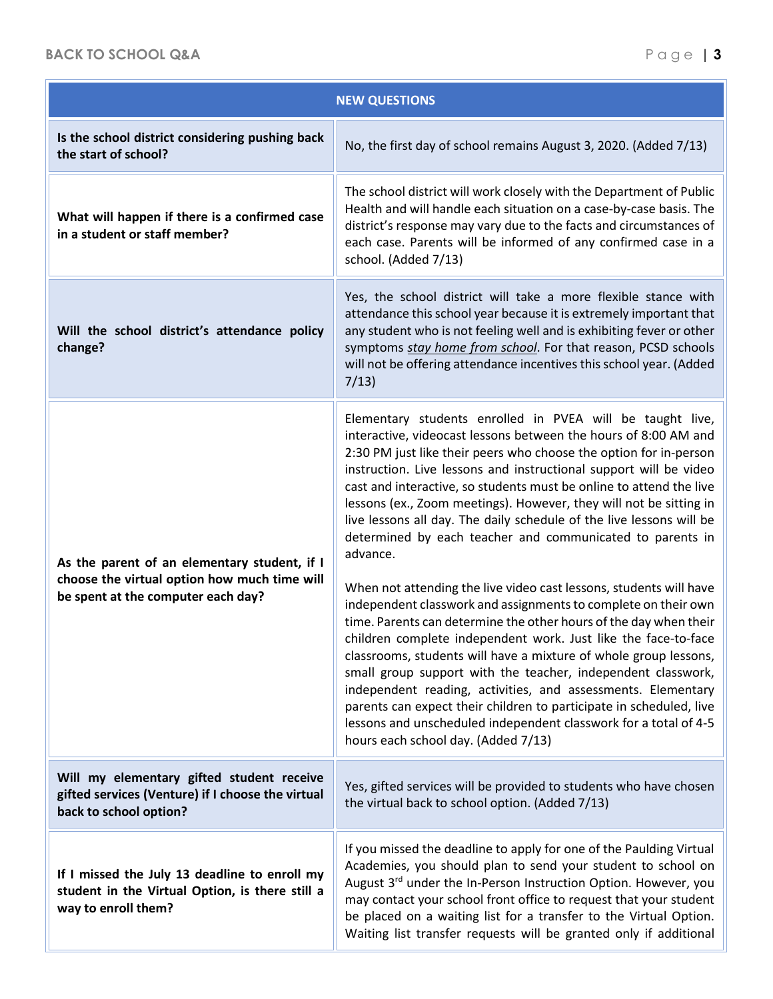| <b>NEW QUESTIONS</b>                                                                                                               |                                                                                                                                                                                                                                                                                                                                                                                                                                                                                                                                                                                                                                                                                                                                                                                                                                                                                                                                                                                                                                                                                                                                                                                                                                           |
|------------------------------------------------------------------------------------------------------------------------------------|-------------------------------------------------------------------------------------------------------------------------------------------------------------------------------------------------------------------------------------------------------------------------------------------------------------------------------------------------------------------------------------------------------------------------------------------------------------------------------------------------------------------------------------------------------------------------------------------------------------------------------------------------------------------------------------------------------------------------------------------------------------------------------------------------------------------------------------------------------------------------------------------------------------------------------------------------------------------------------------------------------------------------------------------------------------------------------------------------------------------------------------------------------------------------------------------------------------------------------------------|
| Is the school district considering pushing back<br>the start of school?                                                            | No, the first day of school remains August 3, 2020. (Added 7/13)                                                                                                                                                                                                                                                                                                                                                                                                                                                                                                                                                                                                                                                                                                                                                                                                                                                                                                                                                                                                                                                                                                                                                                          |
| What will happen if there is a confirmed case<br>in a student or staff member?                                                     | The school district will work closely with the Department of Public<br>Health and will handle each situation on a case-by-case basis. The<br>district's response may vary due to the facts and circumstances of<br>each case. Parents will be informed of any confirmed case in a<br>school. (Added 7/13)                                                                                                                                                                                                                                                                                                                                                                                                                                                                                                                                                                                                                                                                                                                                                                                                                                                                                                                                 |
| Will the school district's attendance policy<br>change?                                                                            | Yes, the school district will take a more flexible stance with<br>attendance this school year because it is extremely important that<br>any student who is not feeling well and is exhibiting fever or other<br>symptoms stay home from school. For that reason, PCSD schools<br>will not be offering attendance incentives this school year. (Added<br>7/13)                                                                                                                                                                                                                                                                                                                                                                                                                                                                                                                                                                                                                                                                                                                                                                                                                                                                             |
| As the parent of an elementary student, if I<br>choose the virtual option how much time will<br>be spent at the computer each day? | Elementary students enrolled in PVEA will be taught live,<br>interactive, videocast lessons between the hours of 8:00 AM and<br>2:30 PM just like their peers who choose the option for in-person<br>instruction. Live lessons and instructional support will be video<br>cast and interactive, so students must be online to attend the live<br>lessons (ex., Zoom meetings). However, they will not be sitting in<br>live lessons all day. The daily schedule of the live lessons will be<br>determined by each teacher and communicated to parents in<br>advance.<br>When not attending the live video cast lessons, students will have<br>independent classwork and assignments to complete on their own<br>time. Parents can determine the other hours of the day when their<br>children complete independent work. Just like the face-to-face<br>classrooms, students will have a mixture of whole group lessons,<br>small group support with the teacher, independent classwork,<br>independent reading, activities, and assessments. Elementary<br>parents can expect their children to participate in scheduled, live<br>lessons and unscheduled independent classwork for a total of 4-5<br>hours each school day. (Added 7/13) |
| Will my elementary gifted student receive<br>gifted services (Venture) if I choose the virtual<br>back to school option?           | Yes, gifted services will be provided to students who have chosen<br>the virtual back to school option. (Added 7/13)                                                                                                                                                                                                                                                                                                                                                                                                                                                                                                                                                                                                                                                                                                                                                                                                                                                                                                                                                                                                                                                                                                                      |
| If I missed the July 13 deadline to enroll my<br>student in the Virtual Option, is there still a<br>way to enroll them?            | If you missed the deadline to apply for one of the Paulding Virtual<br>Academies, you should plan to send your student to school on<br>August 3 <sup>rd</sup> under the In-Person Instruction Option. However, you<br>may contact your school front office to request that your student<br>be placed on a waiting list for a transfer to the Virtual Option.<br>Waiting list transfer requests will be granted only if additional                                                                                                                                                                                                                                                                                                                                                                                                                                                                                                                                                                                                                                                                                                                                                                                                         |